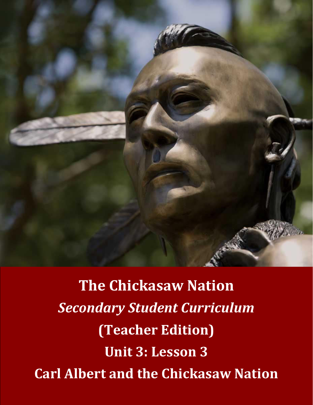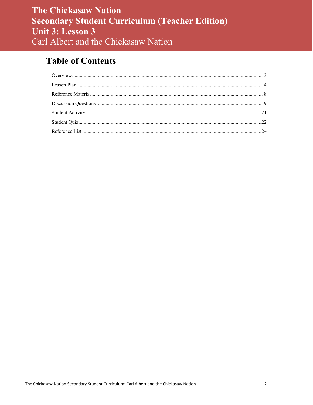# **Table of Contents**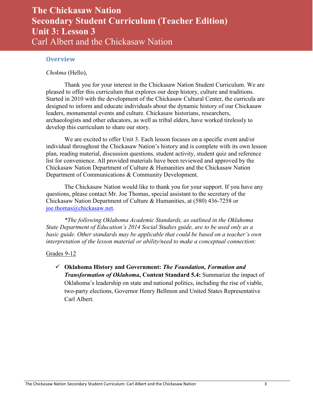#### <span id="page-2-0"></span>**Overview**

#### *Chokma* (Hello),

Thank you for your interest in the Chickasaw Nation Student Curriculum. We are pleased to offer this curriculum that explores our deep history, culture and traditions. Started in 2010 with the development of the Chickasaw Cultural Center, the curricula are designed to inform and educate individuals about the dynamic history of our Chickasaw leaders, monumental events and culture. Chickasaw historians, researchers, archaeologists and other educators, as well as tribal elders, have worked tirelessly to develop this curriculum to share our story.

We are excited to offer Unit 3. Each lesson focuses on a specific event and/or individual throughout the Chickasaw Nation's history and is complete with its own lesson plan, reading material, discussion questions, student activity, student quiz and reference list for convenience. All provided materials have been reviewed and approved by the Chickasaw Nation Department of Culture & Humanities and the Chickasaw Nation Department of Communications & Community Development.

The Chickasaw Nation would like to thank you for your support. If you have any questions, please contact Mr. Joe Thomas, special assistant to the secretary of the Chickasaw Nation Department of Culture & Humanities, at (580) 436-7258 or [joe.thomas@chickasaw.net.](mailto:joe.thomas@chickasaw.net)

*\*The following Oklahoma Academic Standards, as outlined in the Oklahoma State Department of Education's 2014 Social Studies guide, are to be used only as a basic guide. Other standards may be applicable that could be based on a teacher's own interpretation of the lesson material or ability/need to make a conceptual connection:*

#### Grades 9-12

 **Oklahoma History and Government:** *The Foundation, Formation and Transformation of Oklahoma***, Content Standard 5.4:** Summarize the impact of Oklahoma's leadership on state and national politics, including the rise of viable, two-party elections, Governor Henry Bellmon and United States Representative Carl Albert.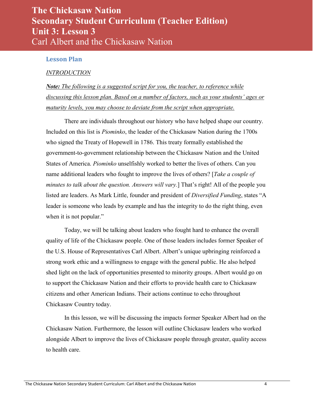#### <span id="page-3-0"></span>**Lesson Plan**

#### *INTRODUCTION*

*Note: The following is a suggested script for you, the teacher, to reference while discussing this lesson plan. Based on a number of factors, such as your students' ages or maturity levels, you may choose to deviate from the script when appropriate.* 

There are individuals throughout our history who have helped shape our country. Included on this list is *Piominko*, the leader of the Chickasaw Nation during the 1700s who signed the Treaty of Hopewell in 1786. This treaty formally established the government-to-government relationship between the Chickasaw Nation and the United States of America. *Piominko* unselfishly worked to better the lives of others. Can you name additional leaders who fought to improve the lives of others? [*Take a couple of minutes to talk about the question. Answers will vary.*] That's right! All of the people you listed are leaders. As Mark Little, founder and president of *Diversified Funding*, states "A leader is someone who leads by example and has the integrity to do the right thing, even when it is not popular."

Today, we will be talking about leaders who fought hard to enhance the overall quality of life of the Chickasaw people. One of those leaders includes former Speaker of the U.S. House of Representatives Carl Albert. Albert's unique upbringing reinforced a strong work ethic and a willingness to engage with the general public. He also helped shed light on the lack of opportunities presented to minority groups. Albert would go on to support the Chickasaw Nation and their efforts to provide health care to Chickasaw citizens and other American Indians. Their actions continue to echo throughout Chickasaw Country today.

In this lesson, we will be discussing the impacts former Speaker Albert had on the Chickasaw Nation. Furthermore, the lesson will outline Chickasaw leaders who worked alongside Albert to improve the lives of Chickasaw people through greater, quality access to health care.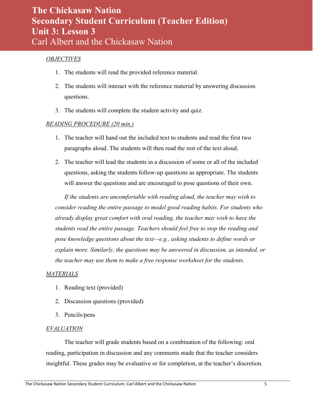#### *OBJECTIVES*

- 1. The students will read the provided reference material.
- 2. The students will interact with the reference material by answering discussion questions.
- 3. The students will complete the student activity and quiz.

#### *READING PROCEDURE (20 min.)*

- 1. The teacher will hand out the included text to students and read the first two paragraphs aloud. The students will then read the rest of the text aloud.
- 2. The teacher will lead the students in a discussion of some or all of the included questions, asking the students follow-up questions as appropriate. The students will answer the questions and are encouraged to pose questions of their own.

*If the students are uncomfortable with reading aloud, the teacher may wish to consider reading the entire passage to model good reading habits. For students who already display great comfort with oral reading, the teacher may wish to have the students read the entire passage. Teachers should feel free to stop the reading and pose knowledge questions about the text—e.g., asking students to define words or explain more. Similarly, the questions may be answered in discussion, as intended, or the teacher may use them to make a free response worksheet for the students.*

#### *MATERIALS*

- 1. Reading text (provided)
- 2. Discussion questions (provided)
- 3. Pencils/pens

#### *EVALUATION*

The teacher will grade students based on a combination of the following: oral reading, participation in discussion and any comments made that the teacher considers insightful. These grades may be evaluative or for completion, at the teacher's discretion.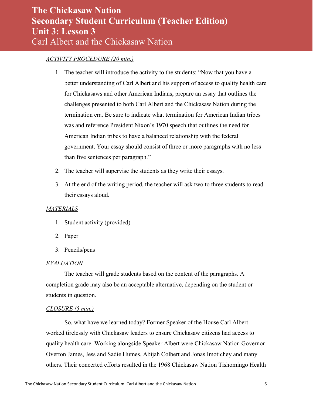#### *ACTIVITY PROCEDURE (20 min.)*

- 1. The teacher will introduce the activity to the students: "Now that you have a better understanding of Carl Albert and his support of access to quality health care for Chickasaws and other American Indians, prepare an essay that outlines the challenges presented to both Carl Albert and the Chickasaw Nation during the termination era. Be sure to indicate what termination for American Indian tribes was and reference President Nixon's 1970 speech that outlines the need for American Indian tribes to have a balanced relationship with the federal government. Your essay should consist of three or more paragraphs with no less than five sentences per paragraph."
- 2. The teacher will supervise the students as they write their essays.
- 3. At the end of the writing period, the teacher will ask two to three students to read their essays aloud.

#### *MATERIALS*

- 1. Student activity (provided)
- 2. Paper
- 3. Pencils/pens

#### *EVALUATION*

 The teacher will grade students based on the content of the paragraphs. A completion grade may also be an acceptable alternative, depending on the student or students in question.

#### *CLOSURE (5 min.)*

So, what have we learned today? Former Speaker of the House Carl Albert worked tirelessly with Chickasaw leaders to ensure Chickasaw citizens had access to quality health care. Working alongside Speaker Albert were Chickasaw Nation Governor Overton James, Jess and Sadie Humes, Abijah Colbert and Jonas Imotichey and many others. Their concerted efforts resulted in the 1968 Chickasaw Nation Tishomingo Health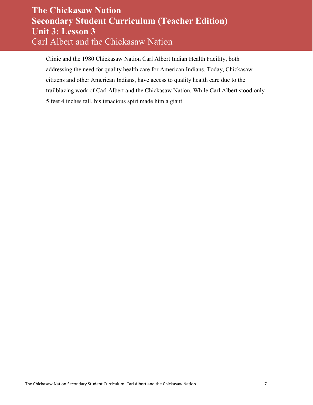Clinic and the 1980 Chickasaw Nation Carl Albert Indian Health Facility, both addressing the need for quality health care for American Indians. Today, Chickasaw citizens and other American Indians, have access to quality health care due to the trailblazing work of Carl Albert and the Chickasaw Nation. While Carl Albert stood only 5 feet 4 inches tall, his tenacious spirt made him a giant.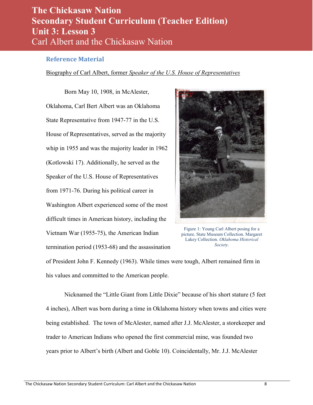#### <span id="page-7-0"></span>**Reference Material**

#### Biography of Carl Albert, former *Speaker of the U.S. House of Representatives*

Born May 10, 1908, in McAlester, Oklahoma, Carl Bert Albert was an Oklahoma State Representative from 1947-77 in the U.S. House of Representatives, served as the majority whip in 1955 and was the majority leader in 1962 (Kotlowski 17). Additionally, he served as the Speaker of the U.S. House of Representatives from 1971-76. During his political career in Washington Albert experienced some of the most difficult times in American history, including the Vietnam War (1955-75), the American Indian termination period (1953-68) and the assassination



Figure 1: Young Carl Albert posing for a picture. State Museum Collection. Margaret Lakey Collection. *Oklahoma Historical Society*.

of President John F. Kennedy (1963). While times were tough, Albert remained firm in his values and committed to the American people.

 Nicknamed the "Little Giant from Little Dixie" because of his short stature (5 feet 4 inches), Albert was born during a time in Oklahoma history when towns and cities were being established. The town of McAlester, named after J.J. McAlester, a storekeeper and trader to American Indians who opened the first commercial mine, was founded two years prior to Albert's birth (Albert and Goble 10). Coincidentally, Mr. J.J. McAlester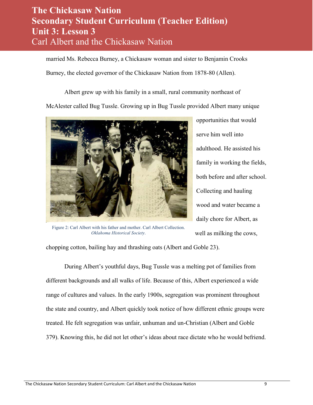married Ms. Rebecca Burney, a Chickasaw woman and sister to Benjamin Crooks

Burney, the elected governor of the Chickasaw Nation from 1878-80 (Allen).

Albert grew up with his family in a small, rural community northeast of

McAlester called Bug Tussle. Growing up in Bug Tussle provided Albert many unique



Figure 2: Carl Albert with his father and mother. Carl Albert Collection. *Oklahoma Historical Society*.

opportunities that would serve him well into adulthood. He assisted his family in working the fields, both before and after school. Collecting and hauling wood and water became a daily chore for Albert, as well as milking the cows,

chopping cotton, bailing hay and thrashing oats (Albert and Goble 23).

 During Albert's youthful days, Bug Tussle was a melting pot of families from different backgrounds and all walks of life. Because of this, Albert experienced a wide range of cultures and values. In the early 1900s, segregation was prominent throughout the state and country, and Albert quickly took notice of how different ethnic groups were treated. He felt segregation was unfair, unhuman and un-Christian (Albert and Goble 379). Knowing this, he did not let other's ideas about race dictate who he would befriend.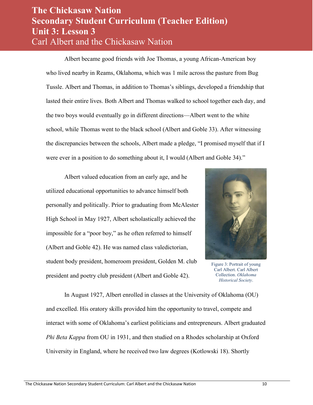Albert became good friends with Joe Thomas, a young African-American boy who lived nearby in Reams, Oklahoma, which was 1 mile across the pasture from Bug Tussle. Albert and Thomas, in addition to Thomas's siblings, developed a friendship that lasted their entire lives. Both Albert and Thomas walked to school together each day, and the two boys would eventually go in different directions—Albert went to the white school, while Thomas went to the black school (Albert and Goble 33). After witnessing the discrepancies between the schools, Albert made a pledge, "I promised myself that if I were ever in a position to do something about it, I would (Albert and Goble 34)."

Albert valued education from an early age, and he utilized educational opportunities to advance himself both personally and politically. Prior to graduating from McAlester High School in May 1927, Albert scholastically achieved the impossible for a "poor boy," as he often referred to himself (Albert and Goble 42). He was named class valedictorian, student body president, homeroom president, Golden M. club president and poetry club president (Albert and Goble 42).



Figure 3: Portrait of young Carl Albert. Carl Albert Collection. *Oklahoma Historical Society*.

In August 1927, Albert enrolled in classes at the University of Oklahoma (OU) and excelled. His oratory skills provided him the opportunity to travel, compete and interact with some of Oklahoma's earliest politicians and entrepreneurs. Albert graduated *Phi Beta Kappa* from OU in 1931, and then studied on a Rhodes scholarship at Oxford University in England, where he received two law degrees (Kotlowski 18). Shortly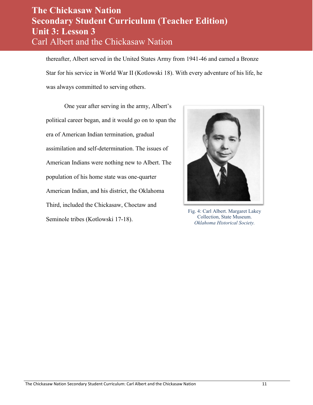thereafter, Albert served in the United States Army from 1941-46 and earned a Bronze Star for his service in World War II (Kotlowski 18). With every adventure of his life, he was always committed to serving others.

One year after serving in the army, Albert's political career began, and it would go on to span the era of American Indian termination, gradual assimilation and self-determination. The issues of American Indians were nothing new to Albert. The population of his home state was one-quarter American Indian, and his district, the Oklahoma Third, included the Chickasaw, Choctaw and Seminole tribes (Kotlowski 17-18).



Fig. 4: Carl Albert. Margaret Lakey Collection, State Museum. *Oklahoma Historical Society.*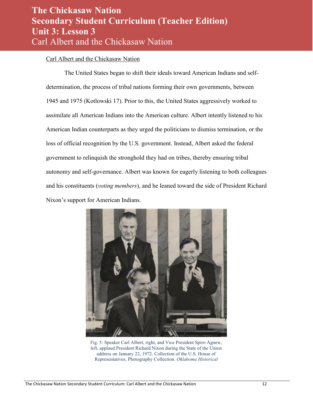#### Carl Albert and the Chickasaw Nation

 The United States began to shift their ideals toward American Indians and selfdetermination, the process of tribal nations forming their own governments, between 1945 and 1975 (Kotlowski 17). Prior to this, the United States aggressively worked to assimilate all American Indians into the American culture. Albert intently listened to his American Indian counterparts as they urged the politicians to dismiss termination, or the loss of official recognition by the U.S. government. Instead, Albert asked the federal government to relinquish the stronghold they had on tribes, thereby ensuring tribal autonomy and self-governance. Albert was known for eagerly listening to both colleagues and his constituents (*voting members*), and he leaned toward the side of President Richard Nixon's support for American Indians.



Fig. 5: Speaker Carl Albert, right, and Vice President Spiro Agnew, left, applaud President Richard Nixon during the State of the Union address on January 22, 1972. Collection of the U.S. House of Representatives, Photography Collection. *Oklahoma Historical*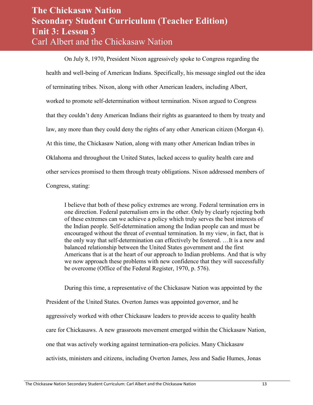On July 8, 1970, President Nixon aggressively spoke to Congress regarding the health and well-being of American Indians. Specifically, his message singled out the idea of terminating tribes. Nixon, along with other American leaders, including Albert, worked to promote self-determination without termination. Nixon argued to Congress that they couldn't deny American Indians their rights as guaranteed to them by treaty and law, any more than they could deny the rights of any other American citizen (Morgan 4). At this time, the Chickasaw Nation, along with many other American Indian tribes in Oklahoma and throughout the United States, lacked access to quality health care and other services promised to them through treaty obligations. Nixon addressed members of Congress, stating:

I believe that both of these policy extremes are wrong. Federal termination errs in one direction. Federal paternalism errs in the other. Only by clearly rejecting both of these extremes can we achieve a policy which truly serves the best interests of the Indian people. Self-determination among the Indian people can and must be encouraged without the threat of eventual termination. In my view, in fact, that is the only way that self-determination can effectively be fostered. …It is a new and balanced relationship between the United States government and the first Americans that is at the heart of our approach to Indian problems. And that is why we now approach these problems with new confidence that they will successfully be overcome (Office of the Federal Register, 1970, p. 576).

During this time, a representative of the Chickasaw Nation was appointed by the President of the United States. Overton James was appointed governor, and he aggressively worked with other Chickasaw leaders to provide access to quality health care for Chickasaws. A new grassroots movement emerged within the Chickasaw Nation, one that was actively working against termination-era policies. Many Chickasaw activists, ministers and citizens, including Overton James, Jess and Sadie Humes, Jonas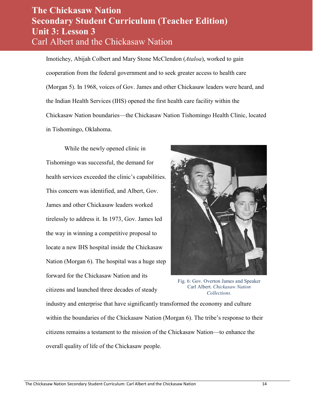Imotichey, Abijah Colbert and Mary Stone McClendon (*Ataloa*), worked to gain cooperation from the federal government and to seek greater access to health care (Morgan 5). In 1968, voices of Gov. James and other Chickasaw leaders were heard, and the Indian Health Services (IHS) opened the first health care facility within the Chickasaw Nation boundaries—the Chickasaw Nation Tishomingo Health Clinic, located in Tishomingo, Oklahoma.

While the newly opened clinic in Tishomingo was successful, the demand for health services exceeded the clinic's capabilities. This concern was identified, and Albert, Gov. James and other Chickasaw leaders worked tirelessly to address it. In 1973, Gov. James led the way in winning a competitive proposal to locate a new IHS hospital inside the Chickasaw Nation (Morgan 6). The hospital was a huge step forward for the Chickasaw Nation and its citizens and launched three decades of steady



Fig. 6: Gov. Overton James and Speaker Carl Albert. *Chickasaw Nation Collections.*

industry and enterprise that have significantly transformed the economy and culture within the boundaries of the Chickasaw Nation (Morgan 6). The tribe's response to their citizens remains a testament to the mission of the Chickasaw Nation—to enhance the overall quality of life of the Chickasaw people.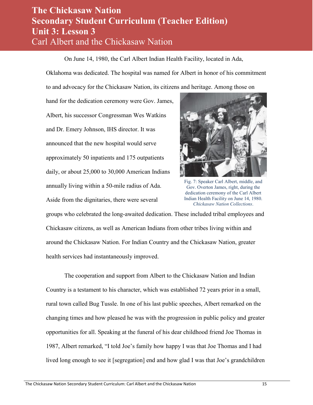On June 14, 1980, the Carl Albert Indian Health Facility, located in Ada,

Oklahoma was dedicated. The hospital was named for Albert in honor of his commitment

to and advocacy for the Chickasaw Nation, its citizens and heritage. Among those on

hand for the dedication ceremony were Gov. James, Albert, his successor Congressman Wes Watkins and Dr. Emery Johnson, IHS director. It was announced that the new hospital would serve approximately 50 inpatients and 175 outpatients daily, or about 25,000 to 30,000 American Indians annually living within a 50-mile radius of Ada. Aside from the dignitaries, there were several



Fig. 7: Speaker Carl Albert, middle, and Gov. Overton James, right, during the dedication ceremony of the Carl Albert Indian Health Facility on June 14, 1980. *Chickasaw Nation Collections*.

groups who celebrated the long-awaited dedication. These included tribal employees and Chickasaw citizens, as well as American Indians from other tribes living within and around the Chickasaw Nation. For Indian Country and the Chickasaw Nation, greater health services had instantaneously improved.

The cooperation and support from Albert to the Chickasaw Nation and Indian Country is a testament to his character, which was established 72 years prior in a small, rural town called Bug Tussle. In one of his last public speeches, Albert remarked on the changing times and how pleased he was with the progression in public policy and greater opportunities for all. Speaking at the funeral of his dear childhood friend Joe Thomas in 1987, Albert remarked, "I told Joe's family how happy I was that Joe Thomas and I had lived long enough to see it [segregation] end and how glad I was that Joe's grandchildren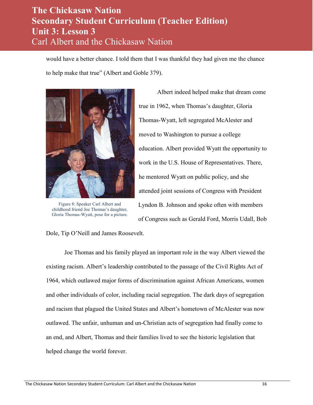would have a better chance. I told them that I was thankful they had given me the chance to help make that true" (Albert and Goble 379).



Figure 8: Speaker Carl Albert and childhood friend Joe Thomas's daughter, Gloria Thomas-Wyatt, pose for a picture.

Dole, Tip O'Neill and James Roosevelt.

Albert indeed helped make that dream come true in 1962, when Thomas's daughter, Gloria Thomas-Wyatt, left segregated McAlester and moved to Washington to pursue a college education. Albert provided Wyatt the opportunity to work in the U.S. House of Representatives. There, he mentored Wyatt on public policy, and she attended joint sessions of Congress with President Lyndon B. Johnson and spoke often with members of Congress such as Gerald Ford, Morris Udall, Bob

Joe Thomas and his family played an important role in the way Albert viewed the existing racism. Albert's leadership contributed to the passage of the Civil Rights Act of 1964, which outlawed major forms of discrimination against African Americans, women and other individuals of color, including racial segregation. The dark days of segregation and racism that plagued the United States and Albert's hometown of McAlester was now outlawed. The unfair, unhuman and un-Christian acts of segregation had finally come to an end, and Albert, Thomas and their families lived to see the historic legislation that helped change the world forever.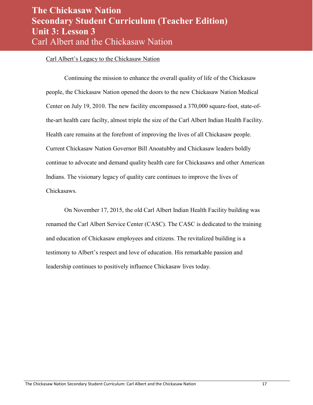#### Carl Albert's Legacy to the Chickasaw Nation

Continuing the mission to enhance the overall quality of life of the Chickasaw people, the Chickasaw Nation opened the doors to the new Chickasaw Nation Medical Center on July 19, 2010. The new facility encompassed a 370,000 square-foot, state-ofthe-art health care facilty, almost triple the size of the Carl Albert Indian Health Facility. Health care remains at the forefront of improving the lives of all Chickasaw people. Current Chickasaw Nation Governor Bill Anoatubby and Chickasaw leaders boldly continue to advocate and demand quality health care for Chickasaws and other American Indians. The visionary legacy of quality care continues to improve the lives of Chickasaws.

On November 17, 2015, the old Carl Albert Indian Health Facility building was renamed the Carl Albert Service Center (CASC). The CASC is dedicated to the training and education of Chickasaw employees and citizens. The revitalized building is a testimony to Albert's respect and love of education. His remarkable passion and leadership continues to positively influence Chickasaw lives today.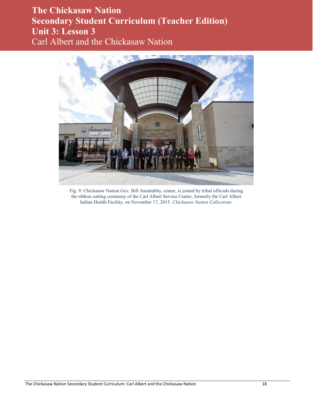

Fig. 9: Chickasaw Nation Gov. Bill Anoatubby, center, is joined by tribal officials during the ribbon cutting ceremony of the Carl Albert Service Center, formerly the Carl Albert Indian Health Facility, on November 17, 2015. *Chickasaw Nation Collections*.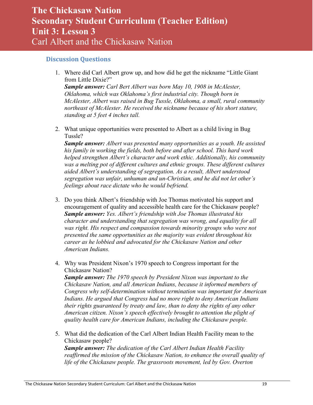#### <span id="page-18-0"></span>**Discussion Questions**

1. Where did Carl Albert grow up, and how did he get the nickname "Little Giant from Little Dixie?"

*Sample answer: Carl Bert Albert was born May 10, 1908 in McAlester, Oklahoma, which was Oklahoma's first industrial city. Though born in McAlester, Albert was raised in Bug Tussle, Oklahoma, a small, rural community northeast of McAlester. He received the nickname because of his short stature, standing at 5 feet 4 inches tall.* 

2. What unique opportunities were presented to Albert as a child living in Bug Tussle?

*Sample answer: Albert was presented many opportunities as a youth. He assisted his family in working the fields, both before and after school. This hard work helped strengthen Albert's character and work ethic. Additionally, his community was a melting pot of different cultures and ethnic groups. These different cultures aided Albert's understanding of segregation. As a result, Albert understood segregation was unfair, unhuman and un-Christian, and he did not let other's feelings about race dictate who he would befriend.* 

- 3. Do you think Albert's friendship with Joe Thomas motivated his support and encouragement of quality and accessible health care for the Chickasaw people? *Sample answer: Yes. Albert's friendship with Joe Thomas illustrated his character and understanding that segregation was wrong, and equality for all*  was right. His respect and compassion towards minority groups who were not *presented the same opportunities as the majority was evident throughout his career as he lobbied and advocated for the Chickasaw Nation and other American Indians.*
- 4. Why was President Nixon's 1970 speech to Congress important for the Chickasaw Nation?

*Sample answer: The 1970 speech by President Nixon was important to the Chickasaw Nation, and all American Indians, because it informed members of Congress why self-determination without termination was important for American Indians. He argued that Congress had no more right to deny American Indians their rights guaranteed by treaty and law, than to deny the rights of any other American citizen. Nixon's speech effectively brought to attention the plight of quality health care for American Indians, including the Chickasaw people.* 

5. What did the dedication of the Carl Albert Indian Health Facility mean to the Chickasaw people?

*Sample answer: The dedication of the Carl Albert Indian Health Facility reaffirmed the mission of the Chickasaw Nation, to enhance the overall quality of life of the Chickasaw people. The grassroots movement, led by Gov. Overton*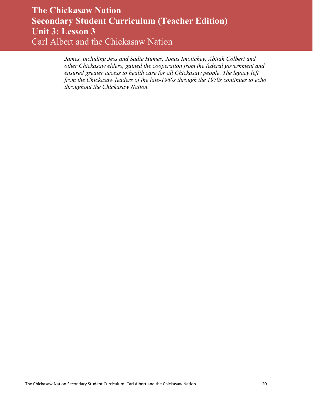*James, including Jess and Sadie Humes, Jonas Imotichey, Abijah Colbert and other Chickasaw elders, gained the cooperation from the federal government and ensured greater access to health care for all Chickasaw people. The legacy left from the Chickasaw leaders of the late-1960s through the 1970s continues to echo throughout the Chickasaw Nation.*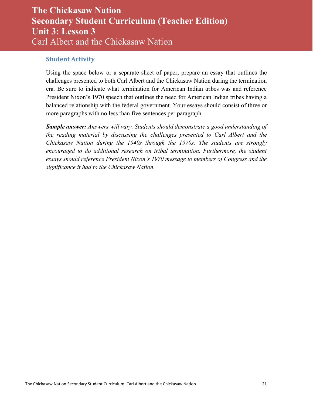#### <span id="page-20-0"></span>**Student Activity**

Using the space below or a separate sheet of paper, prepare an essay that outlines the challenges presented to both Carl Albert and the Chickasaw Nation during the termination era. Be sure to indicate what termination for American Indian tribes was and reference President Nixon's 1970 speech that outlines the need for American Indian tribes having a balanced relationship with the federal government. Your essays should consist of three or more paragraphs with no less than five sentences per paragraph.

*Sample answer: Answers will vary. Students should demonstrate a good understanding of the reading material by discussing the challenges presented to Carl Albert and the Chickasaw Nation during the 1940s through the 1970s. The students are strongly*  encouraged to do additional research on tribal termination. Furthermore, the student *essays should reference President Nixon's 1970 message to members of Congress and the significance it had to the Chickasaw Nation.*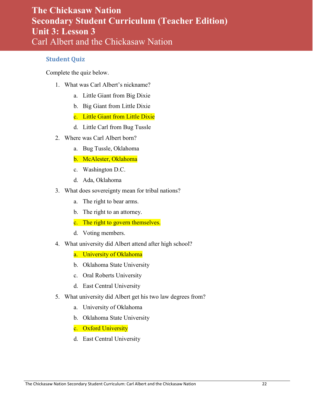#### <span id="page-21-0"></span>**Student Quiz**

Complete the quiz below.

- 1. What was Carl Albert's nickname?
	- a. Little Giant from Big Dixie
	- b. Big Giant from Little Dixie
	- c. Little Giant from Little Dixie
	- d. Little Carl from Bug Tussle
- 2. Where was Carl Albert born?
	- a. Bug Tussle, Oklahoma
	- b. McAlester, Oklahoma
	- c. Washington D.C.
	- d. Ada, Oklahoma
- 3. What does sovereignty mean for tribal nations?
	- a. The right to bear arms.
	- b. The right to an attorney.
	- c. The right to govern themselves.
	- d. Voting members.
- 4. What university did Albert attend after high school?

a. University of Oklahoma

- b. Oklahoma State University
- c. Oral Roberts University
- d. East Central University
- 5. What university did Albert get his two law degrees from?
	- a. University of Oklahoma
	- b. Oklahoma State University
	- c. Oxford University
	- d. East Central University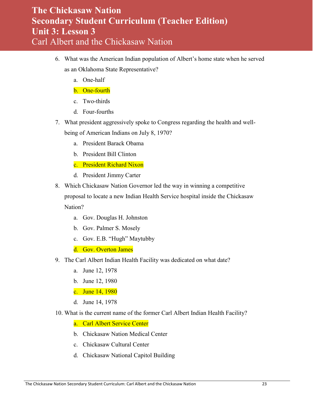- 6. What was the American Indian population of Albert's home state when he served as an Oklahoma State Representative?
	- a. One-half
	- b. One-fourth
	- c. Two-thirds
	- d. Four-fourths
- 7. What president aggressively spoke to Congress regarding the health and wellbeing of American Indians on July 8, 1970?
	- a. President Barack Obama
	- b. President Bill Clinton
	- c. President Richard Nixon
	- d. President Jimmy Carter
- 8. Which Chickasaw Nation Governor led the way in winning a competitive proposal to locate a new Indian Health Service hospital inside the Chickasaw Nation?
	- a. Gov. Douglas H. Johnston
	- b. Gov. Palmer S. Mosely
	- c. Gov. E.B. "Hugh" Maytubby
	- d. Gov. Overton James
- 9. The Carl Albert Indian Health Facility was dedicated on what date?
	- a. June 12, 1978
	- b. June 12, 1980
	- c. June 14, 1980
	- d. June 14, 1978
- 10. What is the current name of the former Carl Albert Indian Health Facility?
	- a. Carl Albert Service Center
	- b. Chickasaw Nation Medical Center
	- c. Chickasaw Cultural Center
	- d. Chickasaw National Capitol Building